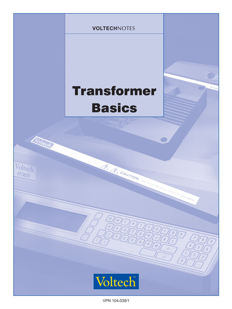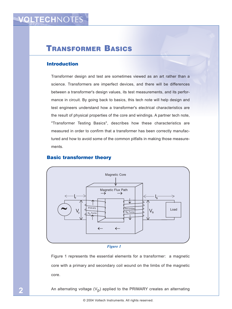# TRANSFORMER BASICS

#### Introduction

Transformer design and test are sometimes viewed as an art rather than a science. Transformers are imperfect devices, and there will be differences between a transformer's design values, its test measurements, and its performance in circuit. By going back to basics, this tech note will help design and test engineers understand how a transformer's electrical characteristics are the result of physical properties of the core and windings. A partner tech note, "Transformer Testing Basics", describes how these characteristics are measured in order to confirm that a transformer has been correctly manufactured and how to avoid some of the common pitfalls in making those measurements.



#### Basic transformer theory

#### *Figure 1*

Figure 1 represents the essential elements for a transformer: a magnetic core with a primary and secondary coil wound on the limbs of the magnetic core.

An alternating voltage  $(V_p)$  applied to the PRIMARY creates an alternating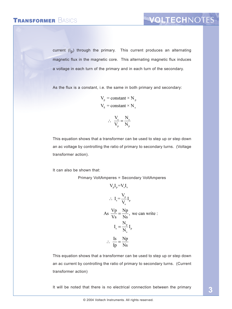current  $(I_p)$  through the primary. This current produces an alternating magnetic flux in the magnetic core. This alternating magnetic flux induces a voltage in each turn of the primary and in each turn of the secondary.

As the flux is a constant, i.e. the same in both primary and secondary:

 $V_p$  = constant × N<sub>p</sub>  $V_s = constant \times N_s$ 

$$
\therefore \frac{V_s}{V_p} = \frac{N_s}{N_p}
$$

This equation shows that a transformer can be used to step up or step down an ac voltage by controlling the ratio of primary to secondary turns. (Voltage transformer action).

It can also be shown that:

Primary VoltAmperes = Secondary VoltAmperes

 $V I - V I$ 

$$
V_{p}I_{p} - V_{s}I_{s}
$$
\n
$$
\therefore I_{s} = \frac{V_{p}}{V_{s}}I_{p}
$$
\n
$$
As \frac{Vp}{Vs} = \frac{Np}{Ns}, \text{ we can write :}
$$
\n
$$
I_{s} = \frac{N_{p}}{N_{s}}I_{p}
$$
\n
$$
\therefore \frac{Is}{Ip} = \frac{Np}{Ns}
$$

This equation shows that a transformer can be used to step up or step down an ac current by controlling the ratio of primary to secondary turns. (Current transformer action)

It will be noted that there is no electrical connection between the primary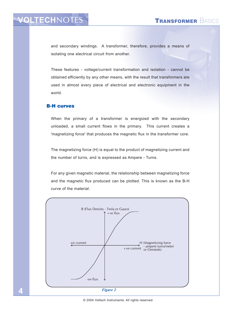# **VOLTECHNO**

and secondary windings. A transformer, therefore, provides a means of isolating one electrical circuit from another.

These features - voltage/current transformation and isolation - cannot be obtained efficiently by any other means, with the result that transformers are used in almost every piece of electrical and electronic equipment in the world.

#### B-H curves

When the primary of a transformer is energized with the secondary unloaded, a small current flows in the primary. This current creates a 'magnetizing force' that produces the magnetic flux in the transformer core.

The magnetizing force (H) is equal to the product of magnetizing current and the number of turns, and is expressed as Ampere - Turns.

For any given magnetic material, the relationship between magnetizing force and the magnetic flux produced can be plotted. This is known as the B-H curve of the material.

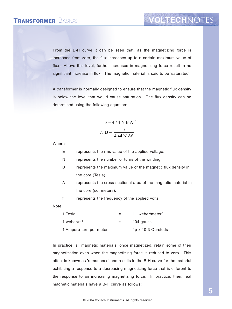### TRANSFORMER BASICS

From the B-H curve it can be seen that, as the magnetizing force is increased from zero, the flux increases up to a certain maximum value of flux. Above this level, further increases in magnetizing force result in no significant increase in flux. The magnetic material is said to be 'saturated'.

A transformer is normally designed to ensure that the magnetic flux density is below the level that would cause saturation. The flux density can be determined using the following equation:

$$
E = 4.44 N B A f
$$

$$
\therefore B = \frac{E}{4.44 N A f}
$$

Where:

- E represents the rms value of the applied voltage.
- N represents the number of turns of the winding.
- B represents the maximum value of the magnetic flux density in the core (Tesla).
- A represents the cross-sectional area of the magnetic material in the core (sq. meters).
- f represents the frequency of the applied volts.

**Note** 

| 1 Tesla                 | $=$ | weber/meter <sup>2</sup> |
|-------------------------|-----|--------------------------|
| 1 weber/ $m2$           | $=$ | 104 gauss                |
| 1 Ampere-turn per meter | =   | 4p x 10-3 Oersteds       |

In practice, all magnetic materials, once magnetized, retain some of their magnetization even when the magnetizing force is reduced to zero. This effect is known as 'remanence' and results in the B-H curve for the material exhibiting a response to a decreasing magnetizing force that is different to the response to an increasing magnetizing force. In practice, then, real magnetic materials have a B-H curve as follows: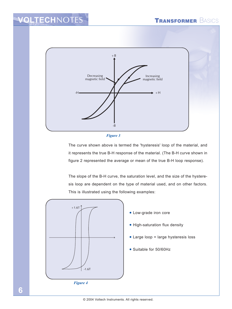# **VOLTECH**NOTES





The curve shown above is termed the 'hysteresis' loop of the material, and it represents the true B-H response of the material. (The B-H curve shown in figure 2 represented the average or mean of the true B-H loop response).

The slope of the B-H curve, the saturation level, and the size of the hysteresis loop are dependent on the type of material used, and on other factors. This is illustrated using the following examples:

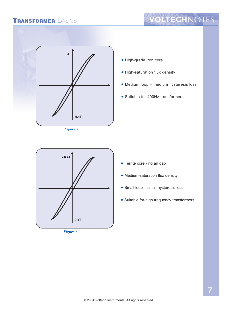

*Figure 5*

- High-grade iron core
- High-saturation flux density
- Medium loop = medium hysteresis loss
- Suitable for 400Hz transformers



*Figure 6*

- Ferrite core no air gap
- Medium-saturation flux density
- Small loop = small hysteresis loss
- Suitable for-high frequency transformers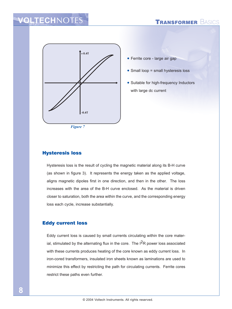### **TRANSFORMER BASICS**

## **VOLTECHNOTES**



• Ferrite core - large air gap

- Small loop = small hysteresis loss
- Suitable for high-frequency Inductors with large dc current

*Figure 7*

#### Hysteresis loss

Hysteresis loss is the result of cycling the magnetic material along its B-H curve (as shown in figure 3). It represents the energy taken as the applied voltage, aligns magnetic dipoles first in one direction, and then in the other. The loss increases with the area of the B-H curve enclosed. As the material is driven closer to saturation, both the area within the curve, and the corresponding energy loss each cycle, increase substantially.

#### Eddy current loss

Eddy current loss is caused by small currents circulating within the core material, stimulated by the alternating flux in the core. The  $1<sup>2</sup>R$  power loss associated with these currents produces heating of the core known as eddy current loss. In iron-cored transformers, insulated iron sheets known as laminations are used to minimize this effect by restricting the path for circulating currents. Ferrite cores restrict these paths even further.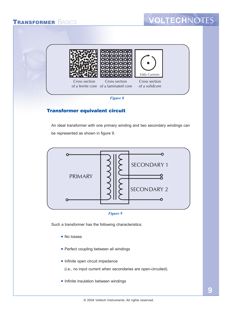



#### Transformer equivalent circuit

An ideal transformer with one primary winding and two secondary windings can be represented as shown in figure 9.





Such a transformer has the following characteristics:

- No losses
- Perfect coupling between all windings
- Infinite open circuit impedance

(i.e., no input current when secondaries are open-circuited).

• Infinite insulation between windings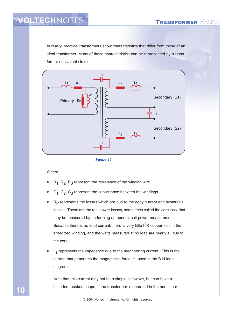## VOLTECHNOTES TRANSFORMER BASICS

In reality, practical transformers show characteristics that differ from those of an ideal transformer. Many of these characteristics can be represented by a transformer equivalent circuit :



*Figure 10*

Where:

**10**

- $R_1$ ,  $R_2$ ,  $R_3$  represent the resistance of the winding wire.
- $C_1$ ,  $C_2$ ,  $C_3$  represent the capacitance between the windings.
- $R<sub>P</sub>$  represents the losses which are due to the eddy current and hysteresis losses. These are the real power losses, sometimes called the core loss, that may be measured by performing an open-circuit power measurement. Because there is no load current, there is very little I<sup>2</sup>R copper loss in the energized winding, and the watts measured at no load are nearly all due to the core.
- $L<sub>S</sub>$  represents the impedance due to the magnetizing current. This is the current that generates the magnetizing force, H, used in the B-H loop diagrams.

Note that this current may not be a simple sinewave, but can have a distorted, peaked shape, if the transformer is operated in the non-linear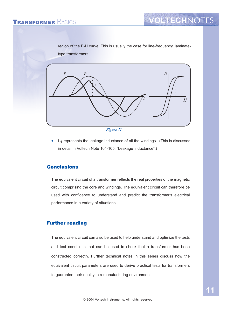region of the B-H curve. This is usually the case for line-frequency, laminatetype transformers.





 $L_1$  represents the leakage inductance of all the windings. (This is discussed in detail in Voltech Note 104-105, "Leakage Inductance".)

#### **Conclusions**

The equivalent circuit of a transformer reflects the real properties of the magnetic circuit comprising the core and windings. The equivalent circuit can therefore be used with confidence to understand and predict the transformer's electrical performance in a variety of situations.

#### Further reading

The equivalent circuit can also be used to help understand and optimize the tests and test conditions that can be used to check that a transformer has been constructed correctly. Further technical notes in this series discuss how the equivalent circuit parameters are used to derive practical tests for transformers to guarantee their quality in a manufacturing environment.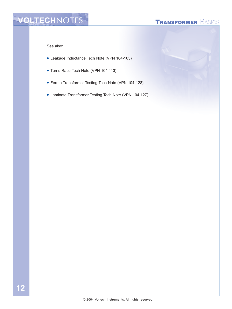# VOLTECHNOTES<sup>N</sup> TRANSFORMER BASICS

See also:

- Leakage Inductance Tech Note (VPN 104-105)
- Turns Ratio Tech Note (VPN 104-113)
- Ferrite Transformer Testing Tech Note (VPN 104-128)
- Laminate Transformer Testing Tech Note (VPN 104-127)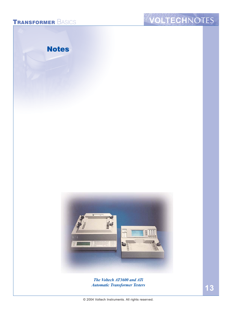# TRANSFORMER BASICS **VOLTECH**NOTES





*The Voltech AT3600 and ATi Automatic Transformer Testers*